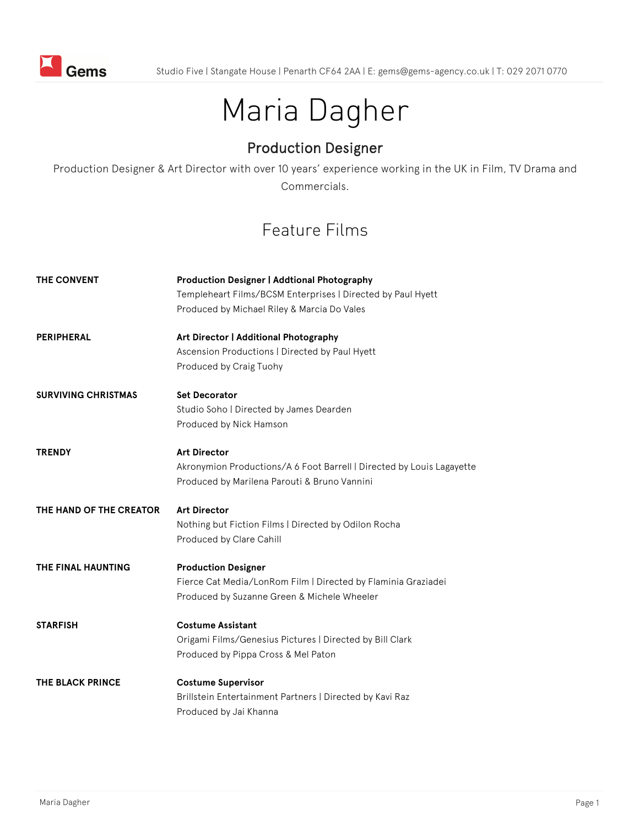

# Maria Dagher

## Production Designer

Production Designer & Art Director with over 10 years' experience working in the UK in Film, TV Drama and Commercials.

# Feature Films

| <b>THE CONVENT</b>         | <b>Production Designer   Addtional Photography</b><br>Templeheart Films/BCSM Enterprises   Directed by Paul Hyett<br>Produced by Michael Riley & Marcia Do Vales |
|----------------------------|------------------------------------------------------------------------------------------------------------------------------------------------------------------|
| <b>PERIPHERAL</b>          | Art Director   Additional Photography<br>Ascension Productions   Directed by Paul Hyett<br>Produced by Craig Tuohy                                               |
| <b>SURVIVING CHRISTMAS</b> | <b>Set Decorator</b><br>Studio Soho   Directed by James Dearden<br>Produced by Nick Hamson                                                                       |
| <b>TRENDY</b>              | <b>Art Director</b><br>Akronymion Productions/A 6 Foot Barrell   Directed by Louis Lagayette<br>Produced by Marilena Parouti & Bruno Vannini                     |
| THE HAND OF THE CREATOR    | <b>Art Director</b><br>Nothing but Fiction Films   Directed by Odilon Rocha<br>Produced by Clare Cahill                                                          |
| THE FINAL HAUNTING         | <b>Production Designer</b><br>Fierce Cat Media/LonRom Film   Directed by Flaminia Graziadei<br>Produced by Suzanne Green & Michele Wheeler                       |
| <b>STARFISH</b>            | <b>Costume Assistant</b><br>Origami Films/Genesius Pictures   Directed by Bill Clark<br>Produced by Pippa Cross & Mel Paton                                      |
| <b>THE BLACK PRINCE</b>    | <b>Costume Supervisor</b><br>Brillstein Entertainment Partners   Directed by Kavi Raz<br>Produced by Jai Khanna                                                  |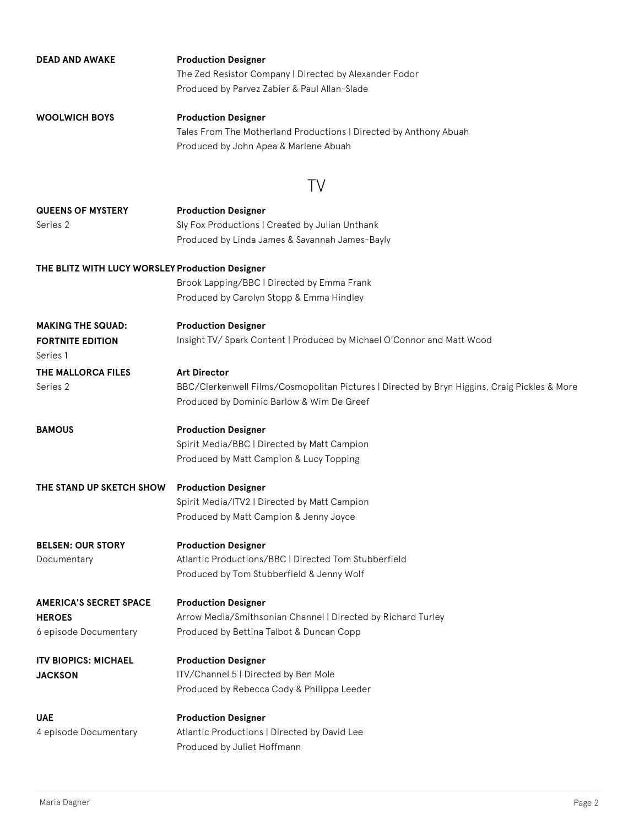| <b>DEAD AND AWAKE</b>                           | <b>Production Designer</b>                                                                   |
|-------------------------------------------------|----------------------------------------------------------------------------------------------|
|                                                 | The Zed Resistor Company   Directed by Alexander Fodor                                       |
|                                                 | Produced by Parvez Zabier & Paul Allan-Slade                                                 |
| <b>WOOLWICH BOYS</b>                            | <b>Production Designer</b>                                                                   |
|                                                 | Tales From The Motherland Productions   Directed by Anthony Abuah                            |
|                                                 | Produced by John Apea & Marlene Abuah                                                        |
|                                                 | TV                                                                                           |
| <b>QUEENS OF MYSTERY</b>                        | <b>Production Designer</b>                                                                   |
| Series 2                                        | Sly Fox Productions   Created by Julian Unthank                                              |
|                                                 | Produced by Linda James & Savannah James-Bayly                                               |
| THE BLITZ WITH LUCY WORSLEY Production Designer |                                                                                              |
|                                                 | Brook Lapping/BBC   Directed by Emma Frank                                                   |
|                                                 | Produced by Carolyn Stopp & Emma Hindley                                                     |
| <b>MAKING THE SQUAD:</b>                        | <b>Production Designer</b>                                                                   |
| <b>FORTNITE EDITION</b><br>Series 1             | Insight TV/ Spark Content   Produced by Michael O'Connor and Matt Wood                       |
| THE MALLORCA FILES                              | <b>Art Director</b>                                                                          |
| Series 2                                        | BBC/Clerkenwell Films/Cosmopolitan Pictures   Directed by Bryn Higgins, Craig Pickles & More |
|                                                 | Produced by Dominic Barlow & Wim De Greef                                                    |
| <b>BAMOUS</b>                                   | <b>Production Designer</b>                                                                   |
|                                                 | Spirit Media/BBC   Directed by Matt Campion                                                  |
|                                                 | Produced by Matt Campion & Lucy Topping                                                      |
| THE STAND UP SKETCH SHOW                        | <b>Production Designer</b>                                                                   |
|                                                 | Spirit Media/ITV2   Directed by Matt Campion                                                 |
|                                                 | Produced by Matt Campion & Jenny Joyce                                                       |
| <b>BELSEN: OUR STORY</b>                        | <b>Production Designer</b>                                                                   |
| Documentary                                     | Atlantic Productions/BBC   Directed Tom Stubberfield                                         |
|                                                 | Produced by Tom Stubberfield & Jenny Wolf                                                    |
| <b>AMERICA'S SECRET SPACE</b>                   | <b>Production Designer</b>                                                                   |
| <b>HEROES</b>                                   | Arrow Media/Smithsonian Channel   Directed by Richard Turley                                 |
| 6 episode Documentary                           | Produced by Bettina Talbot & Duncan Copp                                                     |
| <b>ITV BIOPICS: MICHAEL</b>                     | <b>Production Designer</b>                                                                   |
| JACKSON                                         | ITV/Channel 5   Directed by Ben Mole                                                         |
|                                                 | Produced by Rebecca Cody & Philippa Leeder                                                   |
| <b>UAE</b>                                      | <b>Production Designer</b>                                                                   |
| 4 episode Documentary                           | Atlantic Productions   Directed by David Lee                                                 |
|                                                 | Produced by Juliet Hoffmann                                                                  |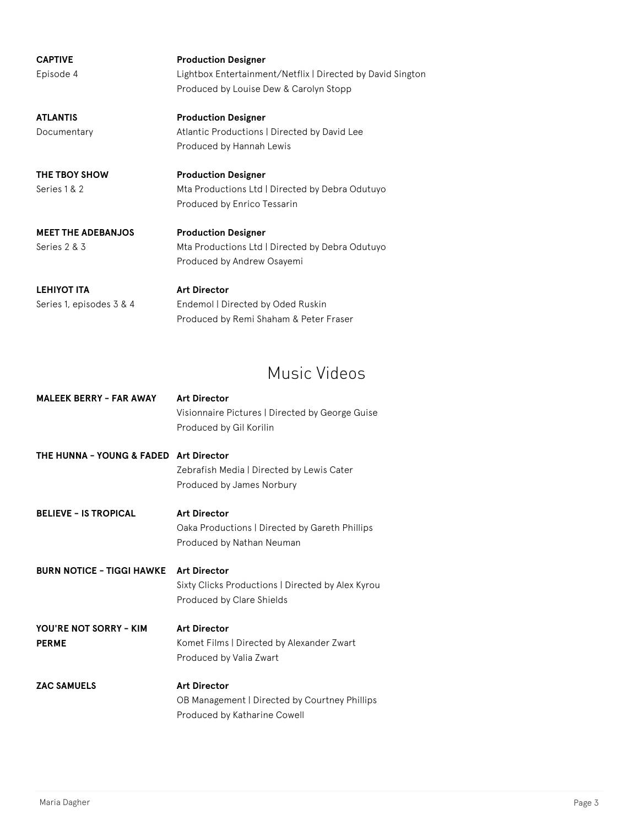| <b>CAPTIVE</b><br>Episode 4    | <b>Production Designer</b><br>Lightbox Entertainment/Netflix   Directed by David Sington<br>Produced by Louise Dew & Carolyn Stopp |
|--------------------------------|------------------------------------------------------------------------------------------------------------------------------------|
| <b>ATLANTIS</b><br>Documentary | <b>Production Designer</b><br>Atlantic Productions   Directed by David Lee<br>Produced by Hannah Lewis                             |
| THE TBOY SHOW<br>Series 1 & 2  | <b>Production Designer</b><br>Mta Productions Ltd   Directed by Debra Odutuyo<br>Produced by Enrico Tessarin                       |

**MEET THE ADEBANJOS** Series 2 & 3

**Production Designer**  Mta Productions Ltd | Directed by Debra Odutuyo Produced by Andrew Osayemi

| LEHIYOT ITA              | <b>Art Director</b>                    |
|--------------------------|----------------------------------------|
| Series 1, episodes 3 & 4 | Endemol   Directed by Oded Ruskin      |
|                          | Produced by Remi Shaham & Peter Fraser |

### Music Videos

| <b>MALEEK BERRY - FAR AWAY</b>         | <b>Art Director</b><br>Visionnaire Pictures   Directed by George Guise<br>Produced by Gil Korilin     |
|----------------------------------------|-------------------------------------------------------------------------------------------------------|
| THE HUNNA - YOUNG & FADED Art Director | Zebrafish Media   Directed by Lewis Cater<br>Produced by James Norbury                                |
| <b>BELIEVE - IS TROPICAL</b>           | <b>Art Director</b><br>Oaka Productions   Directed by Gareth Phillips<br>Produced by Nathan Neuman    |
| <b>BURN NOTICE - TIGGI HAWKE</b>       | <b>Art Director</b><br>Sixty Clicks Productions   Directed by Alex Kyrou<br>Produced by Clare Shields |
| YOU'RE NOT SORRY - KIM<br><b>PERME</b> | <b>Art Director</b><br>Komet Films   Directed by Alexander Zwart<br>Produced by Valia Zwart           |
| <b>ZAC SAMUELS</b>                     | <b>Art Director</b><br>OB Management   Directed by Courtney Phillips<br>Produced by Katharine Cowell  |